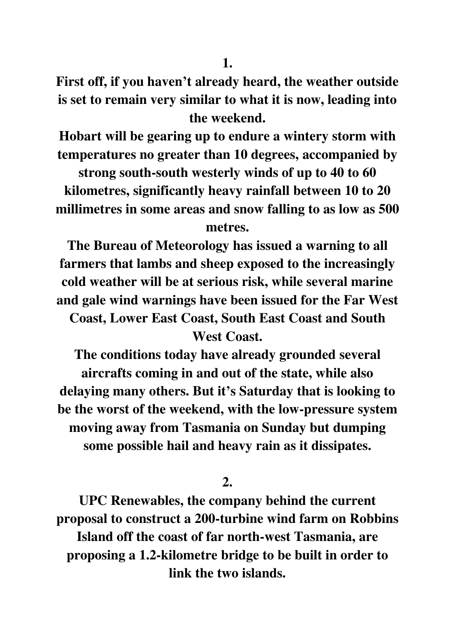**First off, if you haven't already heard, the weather outside is set to remain very similar to what it is now, leading into the weekend.** 

**Hobart will be gearing up to endure a wintery storm with temperatures no greater than 10 degrees, accompanied by** 

**strong south-south westerly winds of up to 40 to 60 kilometres, significantly heavy rainfall between 10 to 20 millimetres in some areas and snow falling to as low as 500 metres.** 

**The Bureau of Meteorology has issued a warning to all farmers that lambs and sheep exposed to the increasingly cold weather will be at serious risk, while several marine and gale wind warnings have been issued for the Far West Coast, Lower East Coast, South East Coast and South** 

**West Coast.** 

**The conditions today have already grounded several aircrafts coming in and out of the state, while also delaying many others. But it's Saturday that is looking to be the worst of the weekend, with the low-pressure system moving away from Tasmania on Sunday but dumping some possible hail and heavy rain as it dissipates.** 

**2.** 

**UPC Renewables, the company behind the current proposal to construct a 200-turbine wind farm on Robbins Island off the coast of far north-west Tasmania, are proposing a 1.2-kilometre bridge to be built in order to link the two islands.**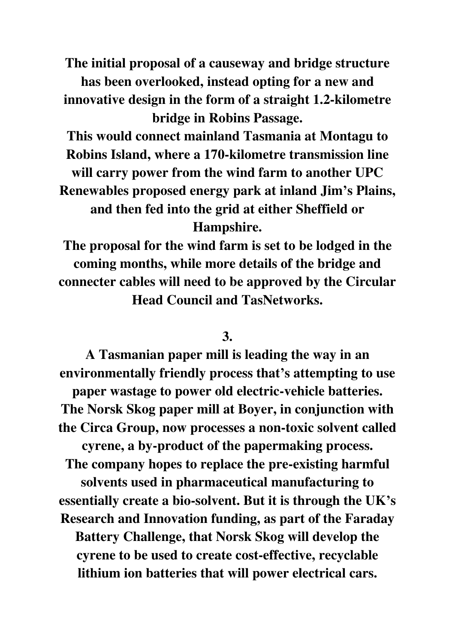**The initial proposal of a causeway and bridge structure has been overlooked, instead opting for a new and innovative design in the form of a straight 1.2-kilometre bridge in Robins Passage.** 

**This would connect mainland Tasmania at Montagu to Robins Island, where a 170-kilometre transmission line will carry power from the wind farm to another UPC Renewables proposed energy park at inland Jim's Plains, and then fed into the grid at either Sheffield or Hampshire.** 

**The proposal for the wind farm is set to be lodged in the coming months, while more details of the bridge and connecter cables will need to be approved by the Circular Head Council and TasNetworks.** 

## **3.**

**A Tasmanian paper mill is leading the way in an environmentally friendly process that's attempting to use paper wastage to power old electric-vehicle batteries. The Norsk Skog paper mill at Boyer, in conjunction with the Circa Group, now processes a non-toxic solvent called cyrene, a by-product of the papermaking process. The company hopes to replace the pre-existing harmful solvents used in pharmaceutical manufacturing to essentially create a bio-solvent. But it is through the UK's Research and Innovation funding, as part of the Faraday Battery Challenge, that Norsk Skog will develop the cyrene to be used to create cost-effective, recyclable lithium ion batteries that will power electrical cars.**